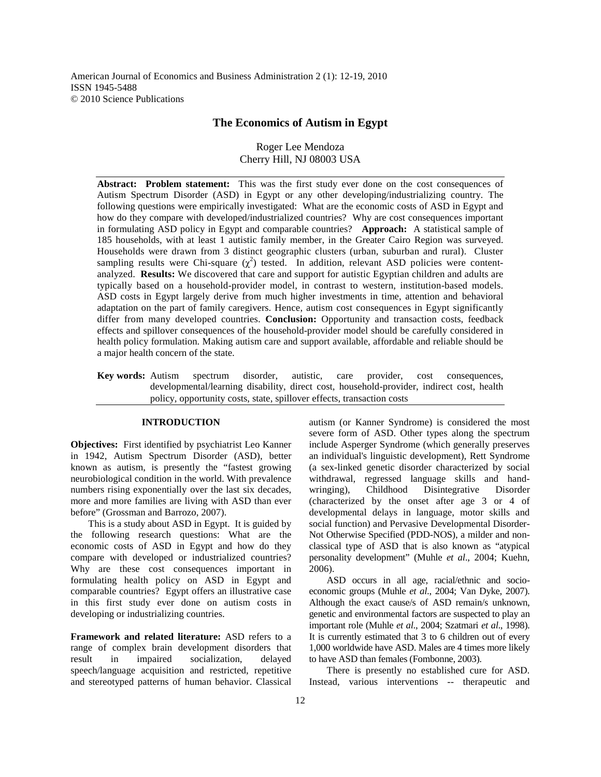American Journal of Economics and Business Administration 2 (1): 12-19, 2010 ISSN 1945-5488 © 2010 Science Publications

# **The Economics of Autism in Egypt**

Roger Lee Mendoza Cherry Hill, NJ 08003 USA

**Abstract: Problem statement:**This was the first study ever done on the cost consequences of Autism Spectrum Disorder (ASD) in Egypt or any other developing/industrializing country. The following questions were empirically investigated: What are the economic costs of ASD in Egypt and how do they compare with developed/industrialized countries? Why are cost consequences important in formulating ASD policy in Egypt and comparable countries? **Approach:** A statistical sample of 185 households, with at least 1 autistic family member, in the Greater Cairo Region was surveyed. Households were drawn from 3 distinct geographic clusters (urban, suburban and rural). Cluster sampling results were Chi-square  $(\chi^2)$  tested. In addition, relevant ASD policies were contentanalyzed. **Results:** We discovered that care and support for autistic Egyptian children and adults are typically based on a household-provider model, in contrast to western, institution-based models. ASD costs in Egypt largely derive from much higher investments in time, attention and behavioral adaptation on the part of family caregivers. Hence, autism cost consequences in Egypt significantly differ from many developed countries. **Conclusion:** Opportunity and transaction costs, feedback effects and spillover consequences of the household-provider model should be carefully considered in health policy formulation. Making autism care and support available, affordable and reliable should be a major health concern of the state.

**Key words:** Autism spectrum disorder, autistic, care provider, cost consequences, developmental/learning disability, direct cost, household-provider, indirect cost, health policy, opportunity costs, state, spillover effects, transaction costs

## **INTRODUCTION**

**Objectives:** First identified by psychiatrist Leo Kanner in 1942, Autism Spectrum Disorder (ASD), better known as autism, is presently the "fastest growing neurobiological condition in the world. With prevalence numbers rising exponentially over the last six decades, more and more families are living with ASD than ever before" (Grossman and Barrozo, 2007).

 This is a study about ASD in Egypt. It is guided by the following research questions: What are the economic costs of ASD in Egypt and how do they compare with developed or industrialized countries? Why are these cost consequences important in formulating health policy on ASD in Egypt and comparable countries? Egypt offers an illustrative case in this first study ever done on autism costs in developing or industrializing countries.

**Framework and related literature:** ASD refers to a range of complex brain development disorders that result in impaired socialization, delayed speech/language acquisition and restricted, repetitive and stereotyped patterns of human behavior. Classical autism (or Kanner Syndrome) is considered the most severe form of ASD. Other types along the spectrum include Asperger Syndrome (which generally preserves an individual's linguistic development), Rett Syndrome (a sex-linked genetic disorder characterized by social withdrawal, regressed language skills and handwringing), Childhood Disintegrative Disorder (characterized by the onset after age 3 or 4 of developmental delays in language, motor skills and social function) and Pervasive Developmental Disorder-Not Otherwise Specified (PDD-NOS), a milder and nonclassical type of ASD that is also known as "atypical personality development" (Muhle *et al*., 2004; Kuehn, 2006).

 ASD occurs in all age, racial/ethnic and socioeconomic groups (Muhle *et al*., 2004; Van Dyke, 2007). Although the exact cause/s of ASD remain/s unknown, genetic and environmental factors are suspected to play an important role (Muhle *et al*., 2004; Szatmari *et al*., 1998). It is currently estimated that 3 to 6 children out of every 1,000 worldwide have ASD. Males are 4 times more likely to have ASD than females (Fombonne, 2003).

 There is presently no established cure for ASD. Instead, various interventions -- therapeutic and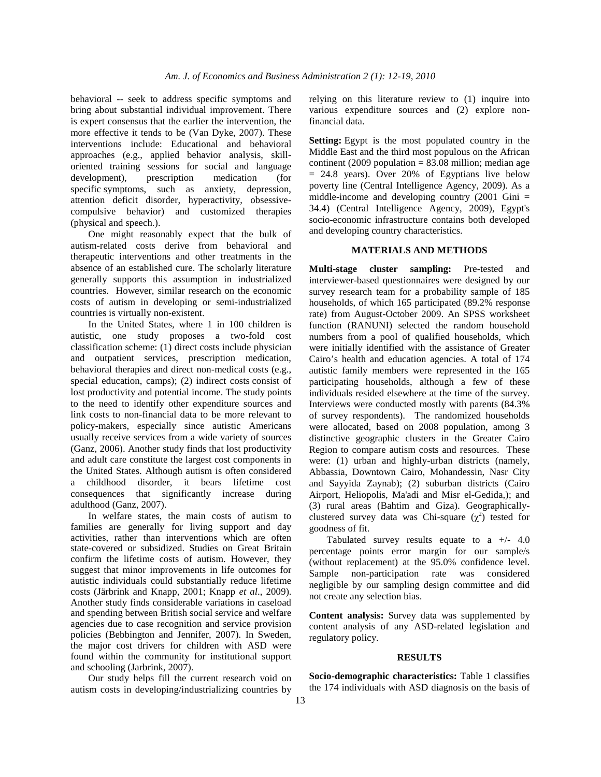behavioral -- seek to address specific symptoms and bring about substantial individual improvement. There is expert consensus that the earlier the intervention, the more effective it tends to be (Van Dyke, 2007). These interventions include: Educational and behavioral approaches (e.g., applied behavior analysis, skilloriented training sessions for social and language development), prescription medication (for specific symptoms, such as anxiety, depression, attention deficit disorder, hyperactivity, obsessivecompulsive behavior) and customized therapies (physical and speech.).

 One might reasonably expect that the bulk of autism-related costs derive from behavioral and therapeutic interventions and other treatments in the absence of an established cure. The scholarly literature generally supports this assumption in industrialized countries. However, similar research on the economic costs of autism in developing or semi-industrialized countries is virtually non-existent.

 In the United States, where 1 in 100 children is autistic, one study proposes a two-fold cost classification scheme: (1) direct costs include physician and outpatient services, prescription medication, behavioral therapies and direct non-medical costs (e.g., special education, camps); (2) indirect costs consist of lost productivity and potential income. The study points to the need to identify other expenditure sources and link costs to non-financial data to be more relevant to policy-makers, especially since autistic Americans usually receive services from a wide variety of sources (Ganz, 2006). Another study finds that lost productivity and adult care constitute the largest cost components in the United States. Although autism is often considered a childhood disorder, it bears lifetime cost consequences that significantly increase during adulthood (Ganz, 2007).

 In welfare states, the main costs of autism to families are generally for living support and day activities, rather than interventions which are often state-covered or subsidized. Studies on Great Britain confirm the lifetime costs of autism. However, they suggest that minor improvements in life outcomes for autistic individuals could substantially reduce lifetime costs (Järbrink and Knapp, 2001; Knapp *et al*., 2009). Another study finds considerable variations in caseload and spending between British social service and welfare agencies due to case recognition and service provision policies (Bebbington and Jennifer, 2007). In Sweden, the major cost drivers for children with ASD were found within the community for institutional support and schooling (Jarbrink, 2007).

 Our study helps fill the current research void on autism costs in developing/industrializing countries by relying on this literature review to (1) inquire into various expenditure sources and (2) explore nonfinancial data.

**Setting:** Egypt is the most populated country in the Middle East and the third most populous on the African continent (2009 population  $= 83.08$  million; median age  $= 24.8$  years). Over 20% of Egyptians live below poverty line (Central Intelligence Agency, 2009). As a middle-income and developing country  $(2001 \text{ Gini} =$ 34.4) (Central Intelligence Agency, 2009), Egypt's socio-economic infrastructure contains both developed and developing country characteristics.

#### **MATERIALS AND METHODS**

**Multi-stage cluster sampling:** Pre-tested and interviewer-based questionnaires were designed by our survey research team for a probability sample of 185 households, of which 165 participated (89.2% response rate) from August-October 2009. An SPSS worksheet function (RANUNI) selected the random household numbers from a pool of qualified households, which were initially identified with the assistance of Greater Cairo's health and education agencies. A total of 174 autistic family members were represented in the 165 participating households, although a few of these individuals resided elsewhere at the time of the survey. Interviews were conducted mostly with parents (84.3% of survey respondents). The randomized households were allocated, based on 2008 population, among 3 distinctive geographic clusters in the Greater Cairo Region to compare autism costs and resources. These were: (1) urban and highly-urban districts (namely, Abbassia, Downtown Cairo, Mohandessin, Nasr City and Sayyida Zaynab); (2) suburban districts (Cairo Airport, Heliopolis, Ma'adi and Misr el-Gedida,); and (3) rural areas (Bahtim and Giza). Geographicallyclustered survey data was Chi-square  $(\chi^2)$  tested for goodness of fit.

Tabulated survey results equate to a  $+/- 4.0$ percentage points error margin for our sample/s (without replacement) at the 95.0% confidence level. Sample non-participation rate was considered negligible by our sampling design committee and did not create any selection bias.

**Content analysis:** Survey data was supplemented by content analysis of any ASD-related legislation and regulatory policy.

#### **RESULTS**

**Socio-demographic characteristics:** Table 1 classifies the 174 individuals with ASD diagnosis on the basis of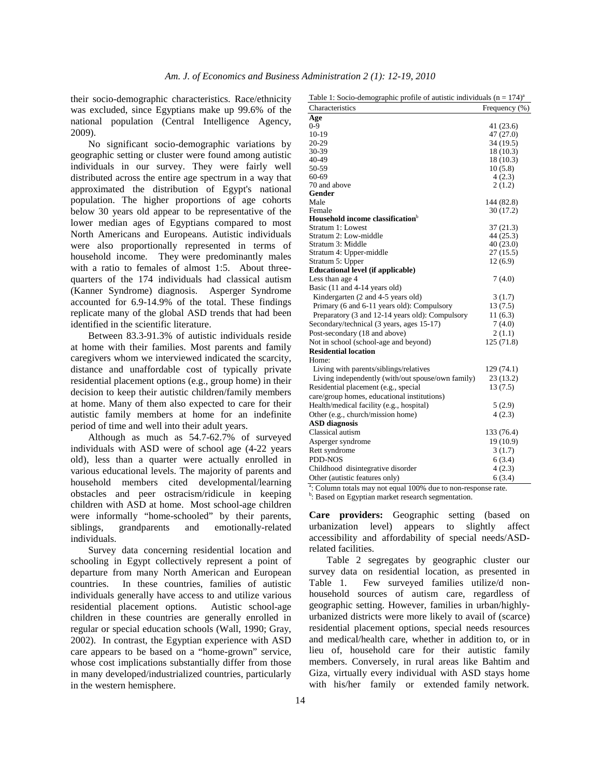their socio-demographic characteristics. Race/ethnicity was excluded, since Egyptians make up 99.6% of the national population (Central Intelligence Agency, 2009).

 No significant socio-demographic variations by geographic setting or cluster were found among autistic individuals in our survey. They were fairly well distributed across the entire age spectrum in a way that approximated the distribution of Egypt's national population. The higher proportions of age cohorts below 30 years old appear to be representative of the lower median ages of Egyptians compared to most North Americans and Europeans. Autistic individuals were also proportionally represented in terms of household income. They were predominantly males with a ratio to females of almost 1:5. About threequarters of the 174 individuals had classical autism (Kanner Syndrome) diagnosis. Asperger Syndrome accounted for 6.9-14.9% of the total. These findings replicate many of the global ASD trends that had been identified in the scientific literature.

 Between 83.3-91.3% of autistic individuals reside at home with their families. Most parents and family caregivers whom we interviewed indicated the scarcity, distance and unaffordable cost of typically private residential placement options (e.g., group home) in their decision to keep their autistic children/family members at home. Many of them also expected to care for their autistic family members at home for an indefinite period of time and well into their adult years.

 Although as much as 54.7-62.7% of surveyed individuals with ASD were of school age (4-22 years old), less than a quarter were actually enrolled in various educational levels. The majority of parents and household members cited developmental/learning obstacles and peer ostracism/ridicule in keeping children with ASD at home. Most school-age children were informally "home-schooled" by their parents, siblings, grandparents and emotionally-related individuals.

 Survey data concerning residential location and schooling in Egypt collectively represent a point of departure from many North American and European countries. In these countries, families of autistic individuals generally have access to and utilize various residential placement options. Autistic school-age children in these countries are generally enrolled in regular or special education schools (Wall, 1990; Gray, 2002). In contrast, the Egyptian experience with ASD care appears to be based on a "home-grown" service, whose cost implications substantially differ from those in many developed/industrialized countries, particularly in the western hemisphere.

Table 1: Socio-demographic profile of autistic individuals  $(n = 174)^{a}$ 

| Characteristics                                   | Frequency (%) |
|---------------------------------------------------|---------------|
| Age                                               |               |
| $0 - 9$                                           | 41 (23.6)     |
| 10-19                                             | 47 (27.0)     |
| 20-29                                             | 34 (19.5)     |
| 30-39                                             | 18 (10.3)     |
| 40-49                                             | 18 (10.3)     |
| 50-59                                             | 10(5.8)       |
| 60-69                                             | 4(2.3)        |
| 70 and above                                      | 2(1.2)        |
| Gender                                            |               |
| Male                                              | 144 (82.8)    |
| Female                                            | 30(17.2)      |
| Household income classification <sup>b</sup>      |               |
| Stratum 1: Lowest                                 | 37(21.3)      |
| Stratum 2: Low-middle                             | 44 (25.3)     |
| Stratum 3: Middle                                 | 40(23.0)      |
| Stratum 4: Upper-middle                           | 27 (15.5)     |
| Stratum 5: Upper                                  | 12(6.9)       |
| <b>Educational level (if applicable)</b>          |               |
| Less than age 4                                   | 7(4.0)        |
| Basic (11 and 4-14 years old)                     |               |
| Kindergarten (2 and 4-5 years old)                | 3(1.7)        |
| Primary (6 and 6-11 years old): Compulsory        | 13(7.5)       |
| Preparatory (3 and 12-14 years old): Compulsory   | 11(6.3)       |
| Secondary/technical (3 years, ages 15-17)         | 7(4.0)        |
| Post-secondary (18 and above)                     | 2(1.1)        |
| Not in school (school-age and beyond)             | 125 (71.8)    |
| <b>Residential location</b>                       |               |
| Home:                                             |               |
| Living with parents/siblings/relatives            | 129(74.1)     |
| Living independently (with/out spouse/own family) | 23 (13.2)     |
| Residential placement (e.g., special              | 13(7.5)       |
| care/group homes, educational institutions)       |               |
| Health/medical facility (e.g., hospital)          | 5(2.9)        |
| Other (e.g., church/mission home)                 | 4(2.3)        |
| <b>ASD</b> diagnosis                              |               |
| Classical autism                                  | 133 (76.4)    |
|                                                   |               |
| Asperger syndrome                                 | 19 (10.9)     |
| Rett syndrome                                     | 3(1.7)        |
| <b>PDD-NOS</b>                                    | 6(3.4)        |
| Childhood disintegrative disorder                 | 4(2.3)        |
| Other (autistic features only)                    | 6(3.4)        |

a: Column totals may not equal 100% due to non-response rate.

<sup>b</sup>: Based on Egyptian market research segmentation.

**Care providers:** Geographic setting (based on urbanization level) appears to slightly affect accessibility and affordability of special needs/ASDrelated facilities.

 Table 2 segregates by geographic cluster our survey data on residential location, as presented in Table 1. Few surveyed families utilize/d nonhousehold sources of autism care, regardless of geographic setting. However, families in urban/highlyurbanized districts were more likely to avail of (scarce) residential placement options, special needs resources and medical/health care, whether in addition to, or in lieu of, household care for their autistic family members. Conversely, in rural areas like Bahtim and Giza, virtually every individual with ASD stays home with his/her family or extended family network.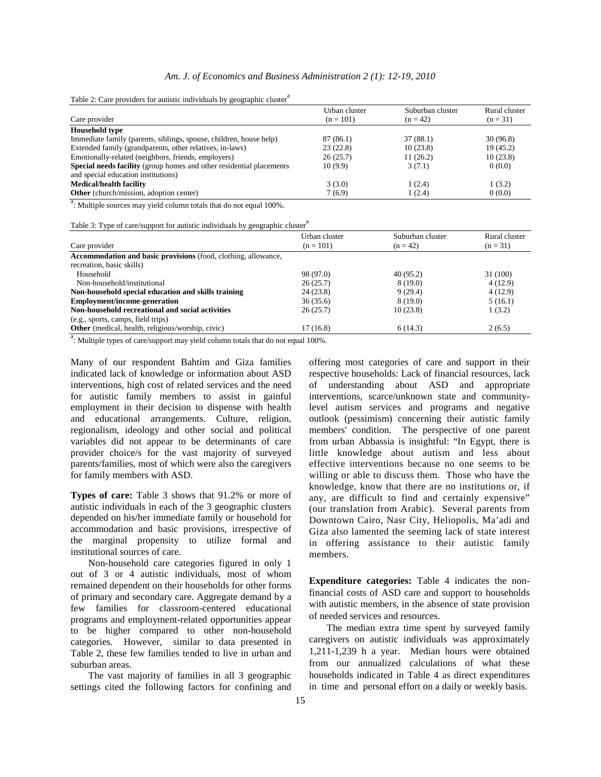## *Am. J. of Economics and Business Administration 2 (1): 12-19, 2010*

Table 2: Care providers for autistic individuals by geographic cluster<sup>a</sup>

| Urban cluster | Suburban cluster | Rural cluster |
|---------------|------------------|---------------|
| $(n = 101)$   | $(n = 42)$       | $(n = 31)$    |
|               |                  |               |
| 87 (86.1)     | 37(88.1)         | 30(96.8)      |
| 23(22.8)      | 10(23.8)         | 19(45.2)      |
| 26(25.7)      | 11(26.2)         | 10(23.8)      |
| 10(9.9)       | 3(7.1)           | 0(0.0)        |
|               |                  |               |
| 3(3.0)        | 1(2.4)           | 1(3.2)        |
| 7(6.9)        | 1(2.4)           | 0(0.0)        |
|               |                  |               |

<sup>a</sup>: Multiple sources may yield column totals that do not equal 100%.

Table 3: Type of care/support for autistic individuals by geographic cluster<sup>a</sup>

| Care provider                                                  | Urban cluster<br>$(n = 101)$ | Suburban cluster<br>$(n = 42)$ | Rural cluster<br>$(n = 31)$ |
|----------------------------------------------------------------|------------------------------|--------------------------------|-----------------------------|
| Accommodation and basic provisions (food, clothing, allowance, |                              |                                |                             |
| recreation, basic skills)                                      |                              |                                |                             |
| Household                                                      | 98 (97.0)                    | 40(95.2)                       | 31 (100)                    |
| Non-household/institutional                                    | 26(25.7)                     | 8(19.0)                        | 4(12.9)                     |
| Non-household special education and skills training            | 24(23.8)                     | 9(29.4)                        | 4(12.9)                     |
| <b>Employment/income-generation</b>                            | 36(35.6)                     | 8(19.0)                        | 5(16.1)                     |
| Non-household recreational and social activities               | 26(25.7)                     | 10(23.8)                       | 1(3.2)                      |
| (e.g., sports, camps, field trips)                             |                              |                                |                             |
| <b>Other</b> (medical, health, religious/worship, civic)       | 17(16.8)                     | 6(14.3)                        | 2(6.5)                      |

<sup>a</sup>: Multiple types of care/support may yield column totals that do not equal 100%.

Many of our respondent Bahtim and Giza families indicated lack of knowledge or information about ASD interventions, high cost of related services and the need for autistic family members to assist in gainful employment in their decision to dispense with health and educational arrangements. Culture, religion, regionalism, ideology and other social and political variables did not appear to be determinants of care provider choice/s for the vast majority of surveyed parents/families, most of which were also the caregivers for family members with ASD.

**Types of care:** Table 3 shows that 91.2% or more of autistic individuals in each of the 3 geographic clusters depended on his/her immediate family or household for accommodation and basic provisions, irrespective of the marginal propensity to utilize formal and institutional sources of care.

 Non-household care categories figured in only 1 out of 3 or 4 autistic individuals, most of whom remained dependent on their households for other forms of primary and secondary care. Aggregate demand by a few families for classroom-centered educational programs and employment-related opportunities appear to be higher compared to other non-household categories. However, similar to data presented in Table 2, these few families tended to live in urban and suburban areas.

 The vast majority of families in all 3 geographic settings cited the following factors for confining and offering most categories of care and support in their respective households: Lack of financial resources, lack of understanding about ASD and appropriate interventions, scarce/unknown state and communitylevel autism services and programs and negative outlook (pessimism) concerning their autistic family members' condition. The perspective of one parent from urban Abbassia is insightful: "In Egypt, there is little knowledge about autism and less about effective interventions because no one seems to be willing or able to discuss them. Those who have the knowledge, know that there are no institutions or, if any, are difficult to find and certainly expensive" (our translation from Arabic). Several parents from Downtown Cairo, Nasr City, Heliopolis, Ma'adi and Giza also lamented the seeming lack of state interest in offering assistance to their autistic family members.

**Expenditure categories:** Table 4 indicates the nonfinancial costs of ASD care and support to households with autistic members, in the absence of state provision of needed services and resources.

 The median extra time spent by surveyed family caregivers on autistic individuals was approximately 1,211-1,239 h a year. Median hours were obtained from our annualized calculations of what these households indicated in Table 4 as direct expenditures in time and personal effort on a daily or weekly basis.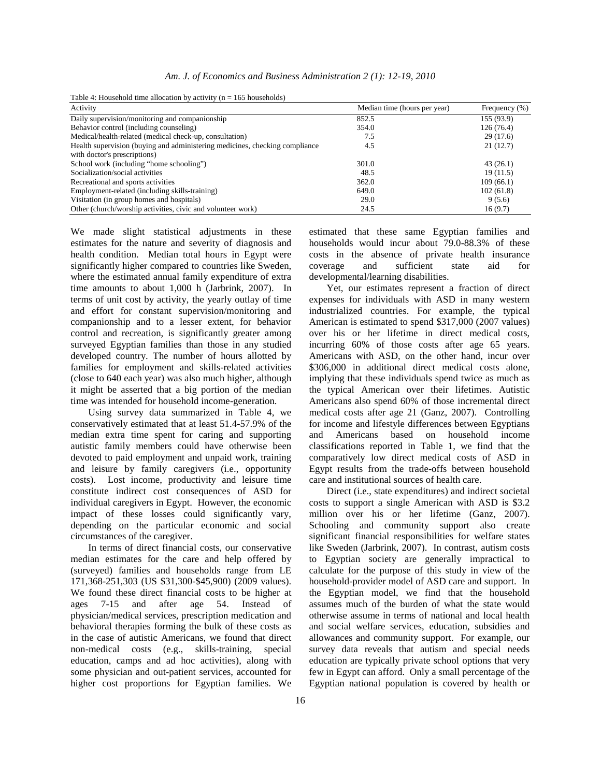| Activity                                                                    | Median time (hours per year) | Frequency $(\% )$ |
|-----------------------------------------------------------------------------|------------------------------|-------------------|
| Daily supervision/monitoring and companionship                              | 852.5                        | 155 (93.9)        |
| Behavior control (including counseling)                                     | 354.0                        | 126(76.4)         |
| Medical/health-related (medical check-up, consultation)                     | 7.5                          | 29(17.6)          |
| Health supervision (buying and administering medicines, checking compliance | 4.5                          | 21(12.7)          |
| with doctor's prescriptions)                                                |                              |                   |
| School work (including "home schooling")                                    | 301.0                        | 43(26.1)          |
| Socialization/social activities                                             | 48.5                         | 19(11.5)          |
| Recreational and sports activities                                          | 362.0                        | 109(66.1)         |
| Employment-related (including skills-training)                              | 649.0                        | 102(61.8)         |
| Visitation (in group homes and hospitals)                                   | 29.0                         | 9(5.6)            |
| Other (church/worship activities, civic and volunteer work)                 | 24.5                         | 16(9.7)           |

Table 4: Household time allocation by activity  $(n = 165$  households)

We made slight statistical adjustments in these estimates for the nature and severity of diagnosis and health condition. Median total hours in Egypt were significantly higher compared to countries like Sweden, where the estimated annual family expenditure of extra time amounts to about 1,000 h (Jarbrink, 2007). In terms of unit cost by activity, the yearly outlay of time and effort for constant supervision/monitoring and companionship and to a lesser extent, for behavior control and recreation, is significantly greater among surveyed Egyptian families than those in any studied developed country. The number of hours allotted by families for employment and skills-related activities (close to 640 each year) was also much higher, although it might be asserted that a big portion of the median time was intended for household income-generation.

 Using survey data summarized in Table 4, we conservatively estimated that at least 51.4-57.9% of the median extra time spent for caring and supporting autistic family members could have otherwise been devoted to paid employment and unpaid work, training and leisure by family caregivers (i.e., opportunity costs). Lost income, productivity and leisure time constitute indirect cost consequences of ASD for individual caregivers in Egypt. However, the economic impact of these losses could significantly vary, depending on the particular economic and social circumstances of the caregiver.

 In terms of direct financial costs, our conservative median estimates for the care and help offered by (surveyed) families and households range from LE 171,368-251,303 (US \$31,300-\$45,900) (2009 values). We found these direct financial costs to be higher at ages 7-15 and after age 54. Instead of physician/medical services, prescription medication and behavioral therapies forming the bulk of these costs as in the case of autistic Americans, we found that direct non-medical costs (e.g., skills-training, special education, camps and ad hoc activities), along with some physician and out-patient services, accounted for higher cost proportions for Egyptian families. We

estimated that these same Egyptian families and households would incur about 79.0-88.3% of these costs in the absence of private health insurance coverage and sufficient state aid for developmental/learning disabilities.

 Yet, our estimates represent a fraction of direct expenses for individuals with ASD in many western industrialized countries. For example, the typical American is estimated to spend \$317,000 (2007 values) over his or her lifetime in direct medical costs, incurring 60% of those costs after age 65 years. Americans with ASD, on the other hand, incur over \$306,000 in additional direct medical costs alone, implying that these individuals spend twice as much as the typical American over their lifetimes. Autistic Americans also spend 60% of those incremental direct medical costs after age 21 (Ganz, 2007). Controlling for income and lifestyle differences between Egyptians and Americans based on household income classifications reported in Table 1, we find that the comparatively low direct medical costs of ASD in Egypt results from the trade-offs between household care and institutional sources of health care.

 Direct (i.e., state expenditures) and indirect societal costs to support a single American with ASD is \$3.2 million over his or her lifetime (Ganz, 2007). Schooling and community support also create significant financial responsibilities for welfare states like Sweden (Jarbrink, 2007). In contrast, autism costs to Egyptian society are generally impractical to calculate for the purpose of this study in view of the household-provider model of ASD care and support. In the Egyptian model, we find that the household assumes much of the burden of what the state would otherwise assume in terms of national and local health and social welfare services, education, subsidies and allowances and community support. For example, our survey data reveals that autism and special needs education are typically private school options that very few in Egypt can afford. Only a small percentage of the Egyptian national population is covered by health or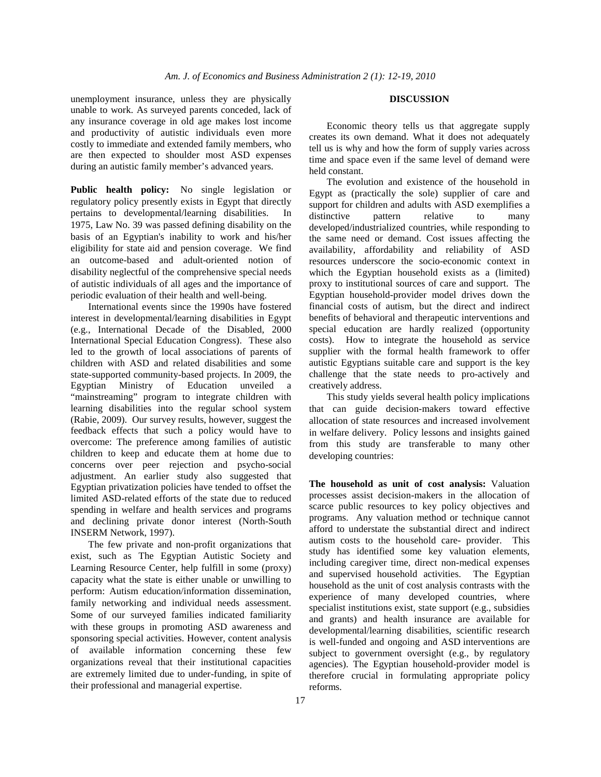unemployment insurance, unless they are physically unable to work. As surveyed parents conceded, lack of any insurance coverage in old age makes lost income and productivity of autistic individuals even more costly to immediate and extended family members, who are then expected to shoulder most ASD expenses during an autistic family member's advanced years.

**Public health policy:** No single legislation or regulatory policy presently exists in Egypt that directly pertains to developmental/learning disabilities. In 1975, Law No. 39 was passed defining disability on the basis of an Egyptian's inability to work and his/her eligibility for state aid and pension coverage. We find an outcome-based and adult-oriented notion of disability neglectful of the comprehensive special needs of autistic individuals of all ages and the importance of periodic evaluation of their health and well-being.

 International events since the 1990s have fostered interest in developmental/learning disabilities in Egypt (e.g., International Decade of the Disabled, 2000 International Special Education Congress). These also led to the growth of local associations of parents of children with ASD and related disabilities and some state-supported community-based projects. In 2009, the Egyptian Ministry of Education unveiled a "mainstreaming" program to integrate children with learning disabilities into the regular school system (Rabie, 2009). Our survey results, however, suggest the feedback effects that such a policy would have to overcome: The preference among families of autistic children to keep and educate them at home due to concerns over peer rejection and psycho-social adjustment. An earlier study also suggested that Egyptian privatization policies have tended to offset the limited ASD-related efforts of the state due to reduced spending in welfare and health services and programs and declining private donor interest (North-South INSERM Network, 1997).

 The few private and non-profit organizations that exist, such as The Egyptian Autistic Society and Learning Resource Center, help fulfill in some (proxy) capacity what the state is either unable or unwilling to perform: Autism education/information dissemination, family networking and individual needs assessment. Some of our surveyed families indicated familiarity with these groups in promoting ASD awareness and sponsoring special activities. However, content analysis of available information concerning these few organizations reveal that their institutional capacities are extremely limited due to under-funding, in spite of their professional and managerial expertise.

## **DISCUSSION**

 Economic theory tells us that aggregate supply creates its own demand. What it does not adequately tell us is why and how the form of supply varies across time and space even if the same level of demand were held constant.

 The evolution and existence of the household in Egypt as (practically the sole) supplier of care and support for children and adults with ASD exemplifies a distinctive pattern relative to many developed/industrialized countries, while responding to the same need or demand. Cost issues affecting the availability, affordability and reliability of ASD resources underscore the socio-economic context in which the Egyptian household exists as a (limited) proxy to institutional sources of care and support. The Egyptian household-provider model drives down the financial costs of autism, but the direct and indirect benefits of behavioral and therapeutic interventions and special education are hardly realized (opportunity costs). How to integrate the household as service supplier with the formal health framework to offer autistic Egyptians suitable care and support is the key challenge that the state needs to pro-actively and creatively address.

This study yields several health policy implications that can guide decision-makers toward effective allocation of state resources and increased involvement in welfare delivery. Policy lessons and insights gained from this study are transferable to many other developing countries:

**The household as unit of cost analysis:** Valuation processes assist decision-makers in the allocation of scarce public resources to key policy objectives and programs. Any valuation method or technique cannot afford to understate the substantial direct and indirect autism costs to the household care- provider. This study has identified some key valuation elements, including caregiver time, direct non-medical expenses and supervised household activities. The Egyptian household as the unit of cost analysis contrasts with the experience of many developed countries, where specialist institutions exist, state support (e.g., subsidies and grants) and health insurance are available for developmental/learning disabilities, scientific research is well-funded and ongoing and ASD interventions are subject to government oversight (e.g., by regulatory agencies). The Egyptian household-provider model is therefore crucial in formulating appropriate policy reforms.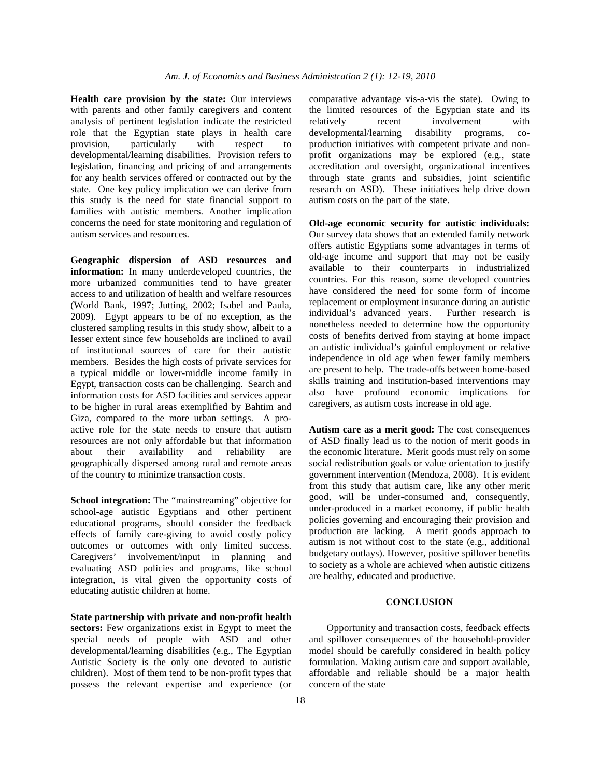**Health care provision by the state:** Our interviews with parents and other family caregivers and content analysis of pertinent legislation indicate the restricted role that the Egyptian state plays in health care provision, particularly with respect to developmental/learning disabilities. Provision refers to legislation, financing and pricing of and arrangements for any health services offered or contracted out by the state. One key policy implication we can derive from this study is the need for state financial support to families with autistic members. Another implication concerns the need for state monitoring and regulation of autism services and resources.

**Geographic dispersion of ASD resources and information:** In many underdeveloped countries, the more urbanized communities tend to have greater access to and utilization of health and welfare resources (World Bank, 1997; Jutting, 2002; Isabel and Paula, 2009). Egypt appears to be of no exception, as the clustered sampling results in this study show, albeit to a lesser extent since few households are inclined to avail of institutional sources of care for their autistic members. Besides the high costs of private services for a typical middle or lower-middle income family in Egypt, transaction costs can be challenging. Search and information costs for ASD facilities and services appear to be higher in rural areas exemplified by Bahtim and Giza, compared to the more urban settings. A proactive role for the state needs to ensure that autism resources are not only affordable but that information about their availability and reliability are geographically dispersed among rural and remote areas of the country to minimize transaction costs.

**School integration:** The "mainstreaming" objective for school-age autistic Egyptians and other pertinent educational programs, should consider the feedback effects of family care-giving to avoid costly policy outcomes or outcomes with only limited success. Caregivers' involvement/input in planning and evaluating ASD policies and programs, like school integration, is vital given the opportunity costs of educating autistic children at home.

**State partnership with private and non-profit health sectors:** Few organizations exist in Egypt to meet the special needs of people with ASD and other developmental/learning disabilities (e.g., The Egyptian Autistic Society is the only one devoted to autistic children). Most of them tend to be non-profit types that possess the relevant expertise and experience (or

comparative advantage vis-a-vis the state). Owing to the limited resources of the Egyptian state and its relatively recent involvement with developmental/learning disability programs, coproduction initiatives with competent private and nonprofit organizations may be explored (e.g., state accreditation and oversight, organizational incentives through state grants and subsidies, joint scientific research on ASD). These initiatives help drive down autism costs on the part of the state.

**Old-age economic security for autistic individuals:** Our survey data shows that an extended family network offers autistic Egyptians some advantages in terms of old-age income and support that may not be easily available to their counterparts in industrialized countries. For this reason, some developed countries have considered the need for some form of income replacement or employment insurance during an autistic individual's advanced years. Further research is nonetheless needed to determine how the opportunity costs of benefits derived from staying at home impact an autistic individual's gainful employment or relative independence in old age when fewer family members are present to help. The trade-offs between home-based skills training and institution-based interventions may also have profound economic implications for caregivers, as autism costs increase in old age.

**Autism care as a merit good:** The cost consequences of ASD finally lead us to the notion of merit goods in the economic literature. Merit goods must rely on some social redistribution goals or value orientation to justify government intervention (Mendoza, 2008). It is evident from this study that autism care, like any other merit good, will be under-consumed and, consequently, under-produced in a market economy, if public health policies governing and encouraging their provision and production are lacking. A merit goods approach to autism is not without cost to the state (e.g., additional budgetary outlays). However, positive spillover benefits to society as a whole are achieved when autistic citizens are healthy, educated and productive.

### **CONCLUSION**

 Opportunity and transaction costs, feedback effects and spillover consequences of the household-provider model should be carefully considered in health policy formulation. Making autism care and support available, affordable and reliable should be a major health concern of the state